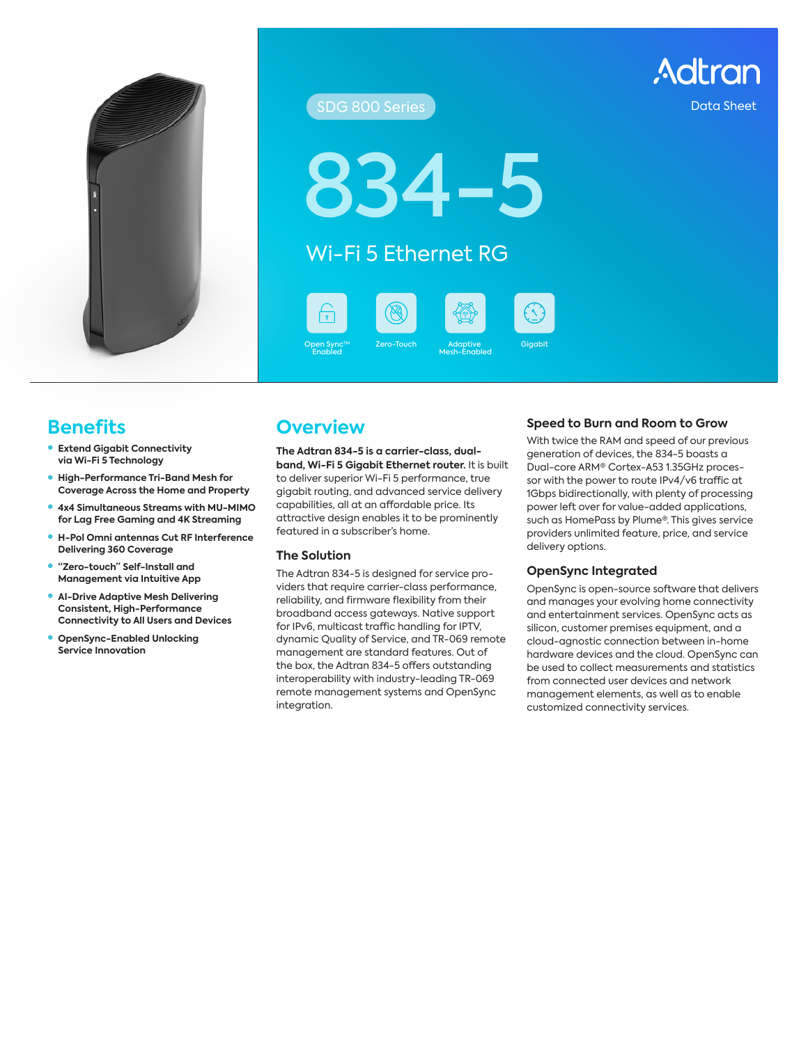

#### SDG 800 Series Data Sheet SDG 800 Series Data Sheet

4-

### Wi-Fi 5 Ethernet RG

Open Sync™ Zero-Touch Adaptive Gigabit Enabled







#### Zero-Touch Adaptive Mesh-Enabled

### **Benefits**

- **Extend Gigabit Connectivity via Wi-Fi 5 Technology**
- **High-Performance Tri-Band Mesh for Coverage Across the Home and Property**
- **4x4 Simultaneous Streams with MU-MIMO for Lag Free Gaming and 4K Streaming**
- z **H-Pol Omni antennas Cut RF Interference Delivering 360 Coverage**
- z **"Zero-touch" Self-Install and Management via Intuitive App**
- **AI-Drive Adaptive Mesh Delivering Consistent, High-Performance Connectivity to All Users and Devices**
- **OpenSync-Enabled Unlocking Service Innovation**

### **Overview**

**The Adtran 834-5 is a carrier-class, dualband, Wi-Fi 5 Gigabit Ethernet router.** It is built to deliver superior Wi-Fi 5 performance, true gigabit routing, and advanced service delivery capabilities, all at an affordable price. Its attractive design enables it to be prominently featured in a subscriber's home.

#### **The Solution**

The Adtran 834-5 is designed for service providers that require carrier-class performance, reliability, and firmware flexibility from their broadband access gateways. Native support for IPv6, multicast traffic handling for IPTV, dynamic Quality of Service, and TR-069 remote management are standard features. Out of the box, the Adtran 834-5 offers outstanding interoperability with industry-leading TR-069 remote management systems and OpenSync integration.

#### **Speed to Burn and Room to Grow**

With twice the RAM and speed of our previous generation of devices, the 834-5 boasts a Dual-core ARM® Cortex-A53 1.35GHz processor with the power to route IPv4/v6 traffic at 1Gbps bidirectionally, with plenty of processing power left over for value-added applications, such as HomePass by Plume®. This gives service providers unlimited feature, price, and service delivery options.

#### **OpenSync Integrated**

OpenSync is open-source software that delivers and manages your evolving home connectivity and entertainment services. OpenSync acts as silicon, customer premises equipment, and a cloud-agnostic connection between in-home hardware devices and the cloud. OpenSync can be used to collect measurements and statistics from connected user devices and network management elements, as well as to enable customized connectivity services.

Adtran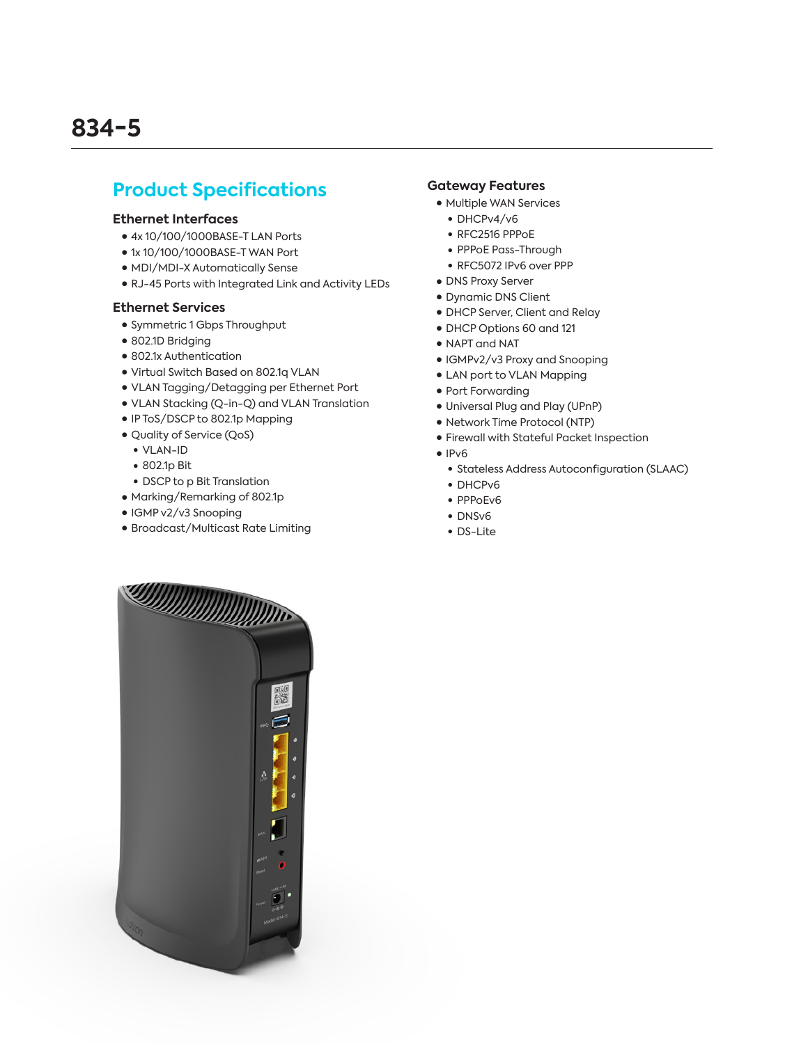### **Product Specifications**

#### **Ethernet Interfaces**

- 4x 10/100/1000BASE-T LAN Ports
- 1x 10/100/1000BASE-T WAN Port
- MDI/MDI-X Automatically Sense
- RJ-45 Ports with Integrated Link and Activity LEDs

#### **Ethernet Services**

- Symmetric 1 Gbps Throughput
- 802.1D Bridging
- 802.1x Authentication
- Virtual Switch Based on 802.1q VLAN
- VLAN Tagging/Detagging per Ethernet Port
- VLAN Stacking (Q-in-Q) and VLAN Translation
- IP ToS/DSCP to 802.1p Mapping
- Quality of Service (QoS)
- VLAN-ID
- 802.1p Bit
- DSCP to p Bit Translation
- Marking/Remarking of 802.1p
- IGMP v2/v3 Snooping
- Broadcast/Multicast Rate Limiting

#### **Gateway Features**

- Multiple WAN Services
	- $\bullet$  DHCPv4/v6
	- $\bullet$  RFC2516 PPPoE
	- PPPoE Pass-Through
	- RFC5072 IPv6 over PPP
- DNS Proxy Server
- Dynamic DNS Client
- DHCP Server, Client and Relay
- DHCP Options 60 and 121
- NAPT and NAT
- IGMPv2/v3 Proxy and Snooping
- LAN port to VLAN Mapping
- Port Forwarding
- Universal Plug and Play (UPnP)
- Network Time Protocol (NTP)
- Firewall with Stateful Packet Inspection
- IPv6
	- Stateless Address Autoconfiguration (SLAAC)
	- DHCPv6
	- PPPoEv6
	- DNSv6
	- DS-Lite

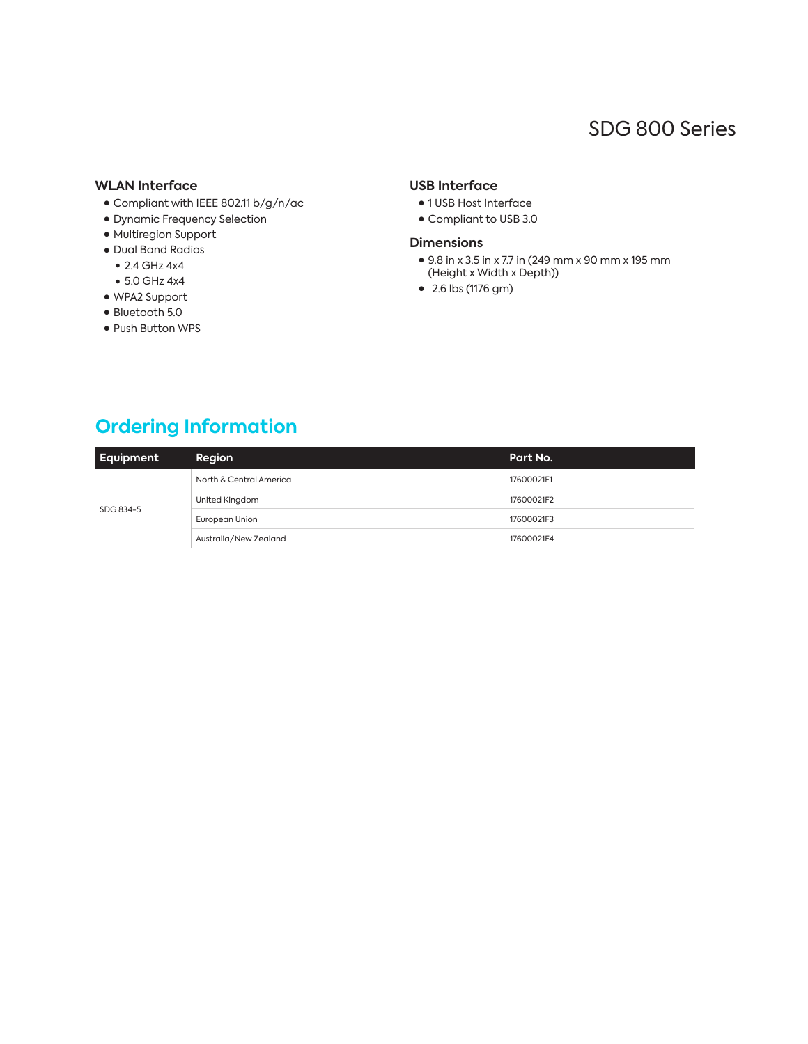#### **WLAN Interface**

- Compliant with IEEE 802.11 b/g/n/ac
- Dynamic Frequency Selection
- Multiregion Support
- Dual Band Radios
	- $\bullet$  2.4 GHz 4x4
	- $\bullet$  5.0 GHz 4x4
- WPA2 Support
- Bluetooth 5.0
- Push Button WPS

### **USB Interface**

- 1 USB Host Interface
- Compliant to USB 3.0

#### **Dimensions**

- 9.8 in x 3.5 in x 7.7 in (249 mm x 90 mm x 195 mm (Height x Width x Depth))
- ● 2.6 lbs (1176 gm)

### **Ordering Information**

| Equipment | Region                  | Part No.   |
|-----------|-------------------------|------------|
| SDG 834-5 | North & Central America | 17600021F1 |
|           | United Kingdom          | 17600021F2 |
|           | European Union          | 17600021F3 |
|           | Australia/New Zealand   | 17600021F4 |